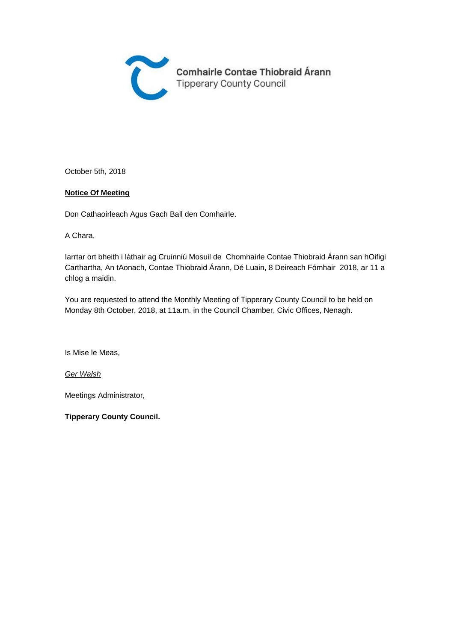

October 5th, 2018

#### **Notice Of Meeting**

Don Cathaoirleach Agus Gach Ball den Comhairle.

A Chara,

Iarrtar ort bheith i láthair ag Cruinniú Mosuil de Chomhairle Contae Thiobraid Árann san hOifigi Carthartha, An tAonach, Contae Thiobraid Árann, Dé Luain, 8 Deireach Fómhair 2018, ar 11 a chlog a maidin.

You are requested to attend the Monthly Meeting of Tipperary County Council to be held on Monday 8th October, 2018, at 11a.m. in the Council Chamber, Civic Offices, Nenagh.

Is Mise le Meas,

Ger Walsh

Meetings Administrator,

**Tipperary County Council.**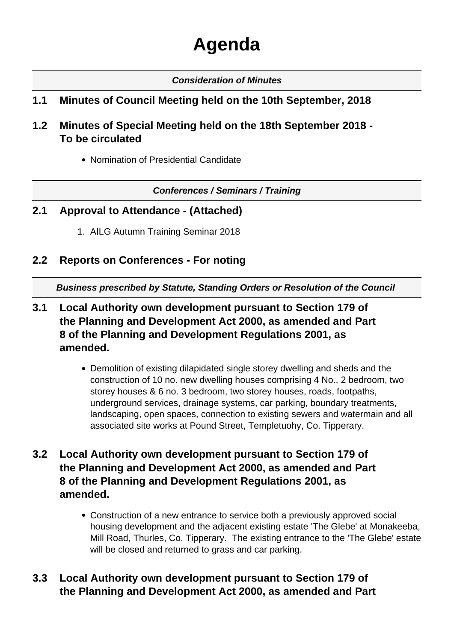# **Agenda**

### **Consideration of Minutes**

## **1.1 Minutes of Council Meeting held on the 10th September, 2018**

- **1.2 Minutes of Special Meeting held on the 18th September 2018 - To be circulated**
	- Nomination of Presidential Candidate

**Conferences / Seminars / Training**

- **2.1 Approval to Attendance (Attached)**
	- 1. AILG Autumn Training Seminar 2018
- **2.2 Reports on Conferences For noting**

**Business prescribed by Statute, Standing Orders or Resolution of the Council** 

- **3.1 Local Authority own development pursuant to Section 179 of the Planning and Development Act 2000, as amended and Part 8 of the Planning and Development Regulations 2001, as amended.**
	- Demolition of existing dilapidated single storey dwelling and sheds and the construction of 10 no. new dwelling houses comprising 4 No., 2 bedroom, two storey houses & 6 no. 3 bedroom, two storey houses, roads, footpaths, underground services, drainage systems, car parking, boundary treatments, landscaping, open spaces, connection to existing sewers and watermain and all associated site works at Pound Street, Templetuohy, Co. Tipperary.
- **3.2 Local Authority own development pursuant to Section 179 of the Planning and Development Act 2000, as amended and Part 8 of the Planning and Development Regulations 2001, as amended.**
	- Construction of a new entrance to service both a previously approved social housing development and the adjacent existing estate 'The Glebe' at Monakeeba, Mill Road, Thurles, Co. Tipperary. The existing entrance to the 'The Glebe' estate will be closed and returned to grass and car parking.

## **3.3 Local Authority own development pursuant to Section 179 of the Planning and Development Act 2000, as amended and Part**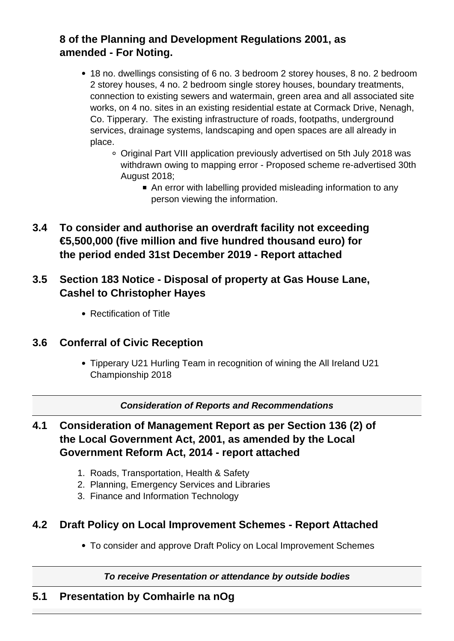## **8 of the Planning and Development Regulations 2001, as amended - For Noting.**

- 18 no. dwellings consisting of 6 no. 3 bedroom 2 storey houses, 8 no. 2 bedroom 2 storey houses, 4 no. 2 bedroom single storey houses, boundary treatments, connection to existing sewers and watermain, green area and all associated site works, on 4 no. sites in an existing residential estate at Cormack Drive, Nenagh, Co. Tipperary. The existing infrastructure of roads, footpaths, underground services, drainage systems, landscaping and open spaces are all already in place.
	- Original Part VIII application previously advertised on 5th July 2018 was withdrawn owing to mapping error - Proposed scheme re-advertised 30th August 2018;
		- An error with labelling provided misleading information to any person viewing the information.
- **3.4 To consider and authorise an overdraft facility not exceeding €5,500,000 (five million and five hundred thousand euro) for the period ended 31st December 2019 - Report attached**

## **3.5 Section 183 Notice - Disposal of property at Gas House Lane, Cashel to Christopher Hayes**

Rectification of Title

## **3.6 Conferral of Civic Reception**

Tipperary U21 Hurling Team in recognition of wining the All Ireland U21 Championship 2018

**Consideration of Reports and Recommendations**

**4.1 Consideration of Management Report as per Section 136 (2) of the Local Government Act, 2001, as amended by the Local Government Reform Act, 2014 - report attached**

- 1. Roads, Transportation, Health & Safety
- 2. Planning, Emergency Services and Libraries
- 3. Finance and Information Technology

## **4.2 Draft Policy on Local Improvement Schemes - Report Attached**

To consider and approve Draft Policy on Local Improvement Schemes

**To receive Presentation or attendance by outside bodies**

## **5.1 Presentation by Comhairle na nOg**